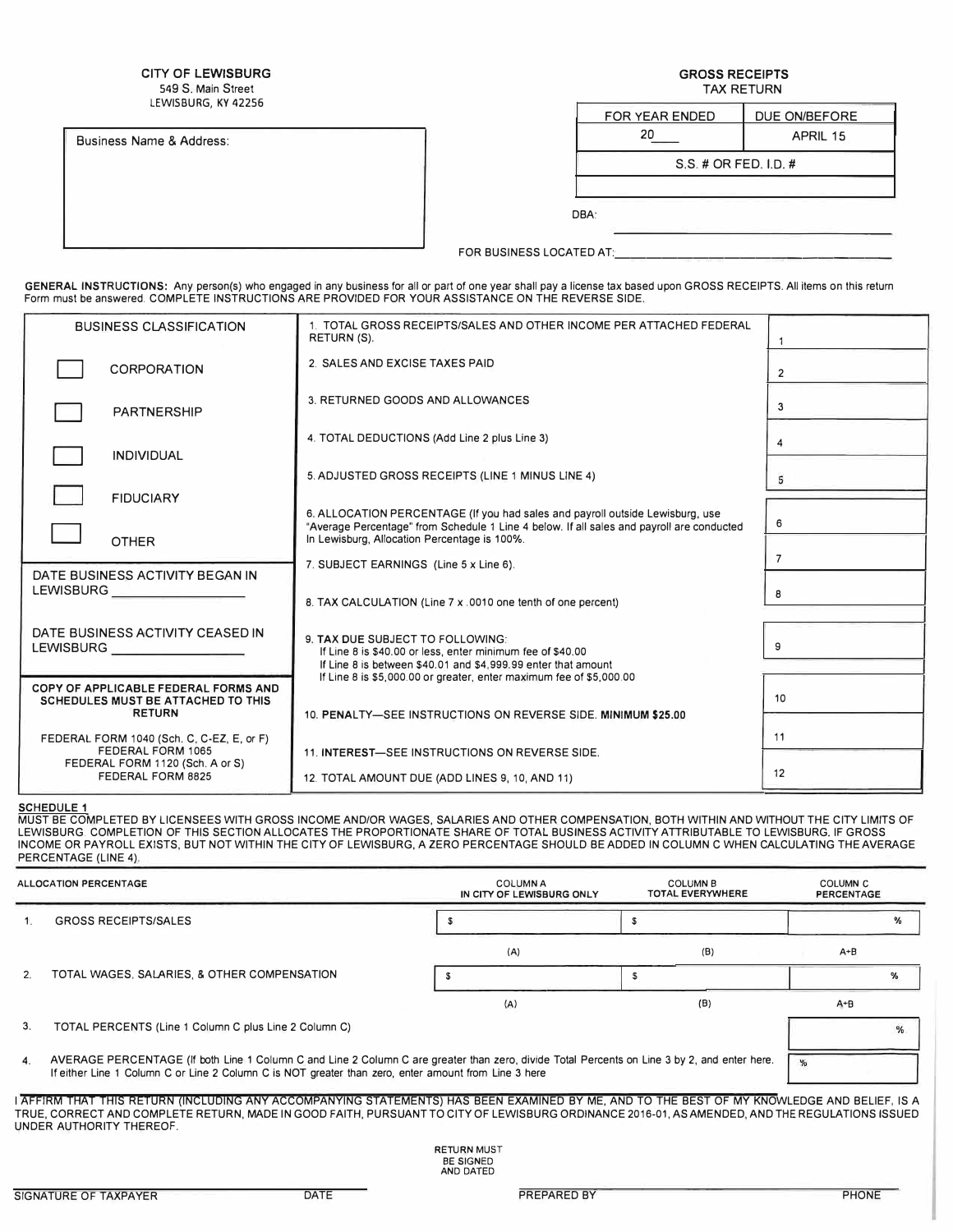CITY OF LEWISBURG 549 S. Main Street LEWISBURG, KY 42256

GROSS RECEIPTS TAX RETURN

Business Name & Address:

| FOR YEAR ENDED        | DUE ON/BEFORE |  |  |  |
|-----------------------|---------------|--|--|--|
| 20                    | APRIL 15      |  |  |  |
| S.S. # OR FED. I.D. # |               |  |  |  |
|                       |               |  |  |  |

FOR BUSINESS LOCATED AT:

GENERAL INSTRUCTIONS: Any person(s) who engaged in any business for all or part of one year shall pay a license tax based upon GROSS RECEIPTS. All items on this return Form must be answered. COMPLETE INSTRUCTIONS ARE PROVIDED FOR YOUR ASSISTANCE ON THE REVERSE SIDE.

| <b>BUSINESS CLASSIFICATION</b>                                             | 1. TOTAL GROSS RECEIPTS/SALES AND OTHER INCOME PER ATTACHED FEDERAL<br>RETURN (S).                                                                                         |                |
|----------------------------------------------------------------------------|----------------------------------------------------------------------------------------------------------------------------------------------------------------------------|----------------|
| <b>CORPORATION</b>                                                         | 2. SALES AND EXCISE TAXES PAID                                                                                                                                             | 2              |
| <b>PARTNERSHIP</b>                                                         | 3. RETURNED GOODS AND ALLOWANCES                                                                                                                                           | 3              |
| <b>INDIVIDUAL</b>                                                          | 4. TOTAL DEDUCTIONS (Add Line 2 plus Line 3)                                                                                                                               | 4              |
|                                                                            | 5. ADJUSTED GROSS RECEIPTS (LINE 1 MINUS LINE 4)                                                                                                                           | 5              |
| <b>FIDUCIARY</b>                                                           |                                                                                                                                                                            |                |
|                                                                            | 6. ALLOCATION PERCENTAGE (If you had sales and payroll outside Lewisburg, use<br>"Average Percentage" from Schedule 1 Line 4 below. If all sales and payroll are conducted | 6              |
| <b>OTHER</b>                                                               | In Lewisburg, Allocation Percentage is 100%.                                                                                                                               | $\overline{7}$ |
| DATE BUSINESS ACTIVITY BEGAN IN                                            | 7. SUBJECT EARNINGS (Line 5 x Line 6).                                                                                                                                     |                |
| <b>LEWISBURG</b>                                                           | 8. TAX CALCULATION (Line 7 x .0010 one tenth of one percent)                                                                                                               | 8              |
|                                                                            |                                                                                                                                                                            |                |
| DATE BUSINESS ACTIVITY CEASED IN<br><b>LEWISBURG</b>                       | 9. TAX DUE SUBJECT TO FOLLOWING:<br>If Line 8 is \$40.00 or less, enter minimum fee of \$40.00                                                                             |                |
|                                                                            | If Line 8 is between \$40.01 and \$4,999.99 enter that amount<br>If Line 8 is \$5,000.00 or greater, enter maximum fee of \$5,000.00                                       |                |
| COPY OF APPLICABLE FEDERAL FORMS AND<br>SCHEDULES MUST BE ATTACHED TO THIS |                                                                                                                                                                            | 10             |
| <b>RETURN</b>                                                              | 10. PENALTY-SEE INSTRUCTIONS ON REVERSE SIDE. MINIMUM \$25.00                                                                                                              |                |
| FEDERAL FORM 1040 (Sch. C, C-EZ, E, or F)                                  |                                                                                                                                                                            | 11             |
| FEDERAL FORM 1065<br>FEDERAL FORM 1120 (Sch. A or S)                       | 11. INTEREST-SEE INSTRUCTIONS ON REVERSE SIDE.                                                                                                                             |                |
| FEDERAL FORM 8825                                                          | 12. TOTAL AMOUNT DUE (ADD LINES 9, 10, AND 11)                                                                                                                             | 12             |

<u>SCHEDULE 1</u><br>MUST BE COMPLETED BY LICENSEES WITH GROSS INCOME AND/OR WAGES, SALARIES AND OTHER COMPENSATION, BOTH WITHIN AND WITHOUT THE CITY LIMITS OF<br>LEWISBURG. COMPLETION OF THIS SECTION ALLOCATES THE PROPORTIONATE SHAR INCOME OR PAYROLL EXISTS, BUT NOT WITHIN THE CITY OF LEWISBURG, A ZERO PERCENTAGE SHOULD BE ADDED IN COLUMN C WHEN CALCULATING THE AVERAGE PERCENTAGE (LINE 4).

|                | <b>ALLOCATION PERCENTAGE</b>                                                                                                                                                                                                                                                                                              | <b>COLUMN A</b><br>IN CITY OF LEWISBURG ONLY        | <b>COLUMN B</b><br><b>TOTAL EVERYWHERE</b> | <b>COLUMN C</b><br><b>PERCENTAGE</b> |   |
|----------------|---------------------------------------------------------------------------------------------------------------------------------------------------------------------------------------------------------------------------------------------------------------------------------------------------------------------------|-----------------------------------------------------|--------------------------------------------|--------------------------------------|---|
|                | <b>GROSS RECEIPTS/SALES</b>                                                                                                                                                                                                                                                                                               |                                                     |                                            |                                      |   |
|                |                                                                                                                                                                                                                                                                                                                           | (A)                                                 | (B)                                        | $A + B$                              |   |
| 2.             | TOTAL WAGES, SALARIES, & OTHER COMPENSATION                                                                                                                                                                                                                                                                               |                                                     |                                            |                                      | % |
|                |                                                                                                                                                                                                                                                                                                                           | (A)                                                 | (B)                                        | $A + B$                              |   |
| 3 <sub>1</sub> | TOTAL PERCENTS (Line 1 Column C plus Line 2 Column C)                                                                                                                                                                                                                                                                     |                                                     |                                            |                                      | % |
| 4.             | AVERAGE PERCENTAGE (If both Line 1 Column C and Line 2 Column C are greater than zero, divide Total Percents on Line 3 by 2, and enter here.<br>If either Line 1 Column C or Line 2 Column C is NOT greater than zero, enter amount from Line 3 here                                                                      |                                                     |                                            |                                      |   |
|                | I AFFIRM THAT THIS RETURN (INCLUDING ANY ACCOMPANYING STATEMENTS) HAS BEEN EXAMINED BY ME, AND TO THE BEST OF MY KNOWLEDGE AND BELIEF, IS A<br>TRUE. CORRECT AND COMPLETE RETURN. MADE IN GOOD FAITH. PURSUANT TO CITY OF LEWISBURG ORDINANCE 2016-01. AS AMENDED. AND THE REGULATIONS ISSUED<br>UNDER AUTHORITY THEREOF. |                                                     |                                            |                                      |   |
|                |                                                                                                                                                                                                                                                                                                                           | <b>RETURN MUST</b><br><b>BE SIGNED</b><br>AND DATED |                                            |                                      |   |